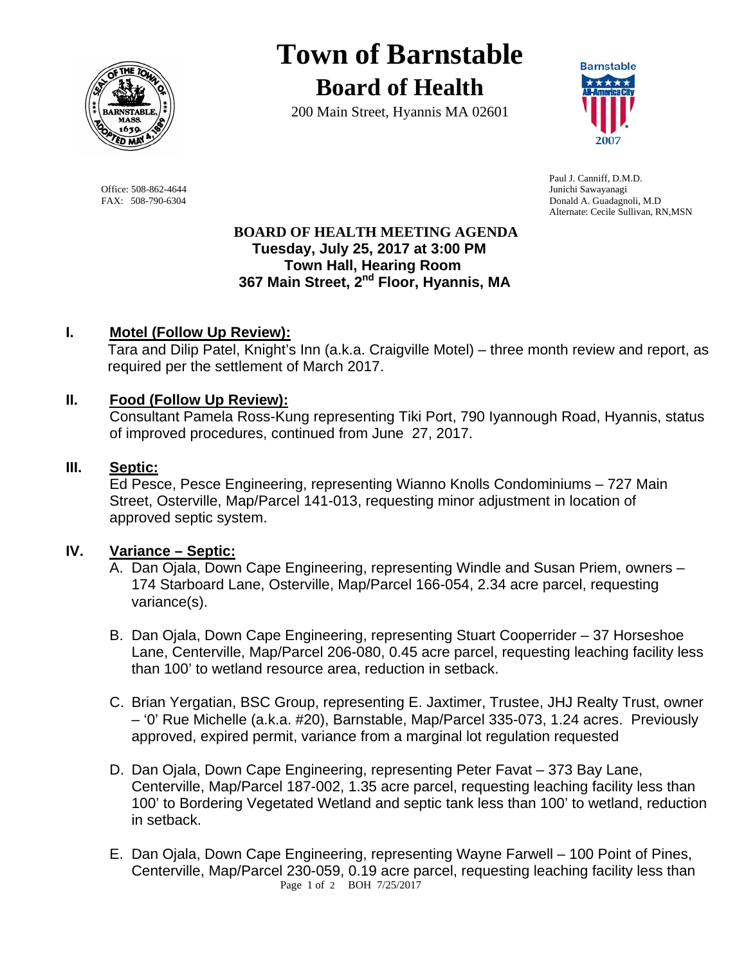

# **Town of Barnstable Board of Health**

200 Main Street, Hyannis MA 02601



Office: 508-862-4644 Junichi Sawayanagi<br>
FAX: 508-790-6304 Donald A. Guadagne

 Paul J. Canniff, D.M.D. Donald A. Guadagnoli, M.D Alternate: Cecile Sullivan, RN,MSN

# **BOARD OF HEALTH MEETING AGENDA Tuesday, July 25, 2017 at 3:00 PM Town Hall, Hearing Room 367 Main Street, 2nd Floor, Hyannis, MA**

# **I. Motel (Follow Up Review):**

Tara and Dilip Patel, Knight's Inn (a.k.a. Craigville Motel) – three month review and report, as required per the settlement of March 2017.

# **II. Food (Follow Up Review):**

Consultant Pamela Ross-Kung representing Tiki Port, 790 Iyannough Road, Hyannis, status of improved procedures, continued from June 27, 2017.

# **III. Septic:**

Ed Pesce, Pesce Engineering, representing Wianno Knolls Condominiums – 727 Main Street, Osterville, Map/Parcel 141-013, requesting minor adjustment in location of approved septic system.

# **IV. Variance – Septic:**

- A. Dan Ojala, Down Cape Engineering, representing Windle and Susan Priem, owners 174 Starboard Lane, Osterville, Map/Parcel 166-054, 2.34 acre parcel, requesting variance(s).
- B. Dan Ojala, Down Cape Engineering, representing Stuart Cooperrider 37 Horseshoe Lane, Centerville, Map/Parcel 206-080, 0.45 acre parcel, requesting leaching facility less than 100' to wetland resource area, reduction in setback.
- C. Brian Yergatian, BSC Group, representing E. Jaxtimer, Trustee, JHJ Realty Trust, owner – '0' Rue Michelle (a.k.a. #20), Barnstable, Map/Parcel 335-073, 1.24 acres. Previously approved, expired permit, variance from a marginal lot regulation requested
- D. Dan Ojala, Down Cape Engineering, representing Peter Favat 373 Bay Lane, Centerville, Map/Parcel 187-002, 1.35 acre parcel, requesting leaching facility less than 100' to Bordering Vegetated Wetland and septic tank less than 100' to wetland, reduction in setback.
- Page 1 of 2 BOH 7/25/2017 E. Dan Ojala, Down Cape Engineering, representing Wayne Farwell – 100 Point of Pines, Centerville, Map/Parcel 230-059, 0.19 acre parcel, requesting leaching facility less than